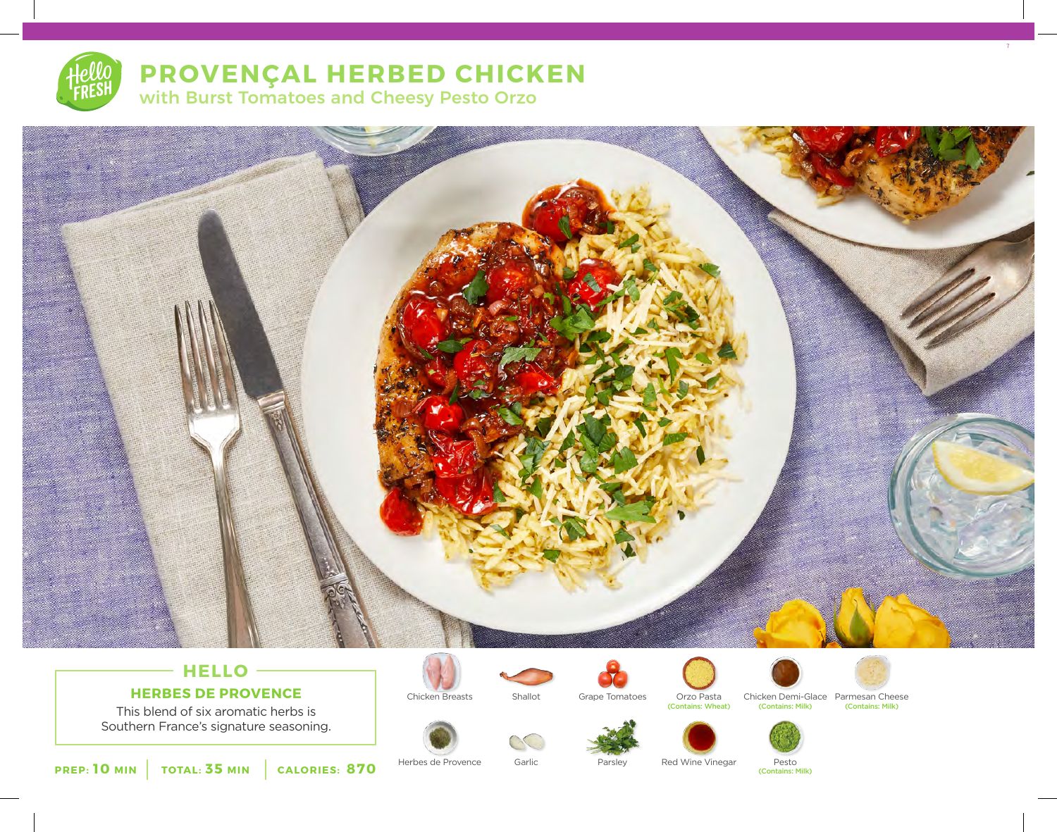

# **PROVENÇAL HERBED CHICKEN**

with Burst Tomatoes and Cheesy Pesto Orzo



# **HELLO HERBES DE PROVENCE**

This blend of six aromatic herbs is Southern France's signature seasoning.









Orzo Pasta<br>(Contains: Wheat)





7



**PREP: 10 MIN TOTAL: 35 MIN CALORIES: 870**

Herbes de Provence Garlic Parsley Red Wine Vinegar Pesto

(Contains: Milk)